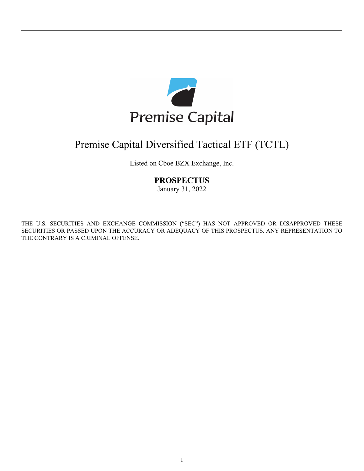

# Premise Capital Diversified Tactical ETF (TCTL)

Listed on Cboe BZX Exchange, Inc.

# **PROSPECTUS**

January 31, 2022

THE U.S. SECURITIES AND EXCHANGE COMMISSION ("SEC") HAS NOT APPROVED OR DISAPPROVED THESE SECURITIES OR PASSED UPON THE ACCURACY OR ADEQUACY OF THIS PROSPECTUS. ANY REPRESENTATION TO THE CONTRARY IS A CRIMINAL OFFENSE.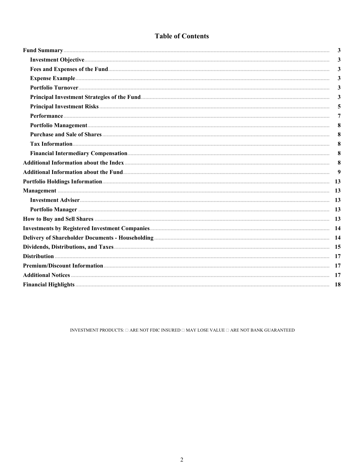# **Table of Contents**

| 3            |
|--------------|
| $\mathbf{3}$ |
| $\mathbf{3}$ |
| $\mathbf{3}$ |
| 3            |
| 3            |
| 5            |
| 7            |
| 8            |
| 8            |
| 8            |
| 8            |
| 8            |
| 9            |
|              |
|              |
|              |
|              |
|              |
|              |
|              |
|              |
|              |
|              |
|              |
|              |
|              |

INVESTMENT PRODUCTS:  $\Box$  ARE NOT FDIC INSURED  $\Box$  MAY LOSE VALUE  $\Box$  ARE NOT BANK GUARANTEED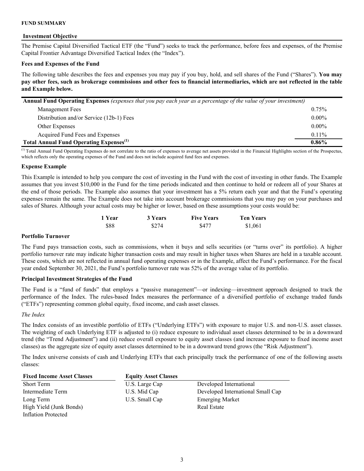#### <span id="page-2-0"></span>**FUND SUMMARY**

#### **Investment Objective**

The Premise Capital Diversified Tactical ETF (the "Fund") seeks to track the performance, before fees and expenses, of the Premise Capital Frontier Advantage Diversified Tactical Index (the "Index").

#### **Fees and Expenses of the Fund**

The following table describes the fees and expenses you may pay if you buy, hold, and sell shares of the Fund ("Shares"). **You may pay other fees, such as brokerage commissions and other fees to financial intermediaries, which are not reflected in the table and Example below.**

| Annual Fund Operating Expenses (expenses that you pay each year as a percentage of the value of your investment) |          |  |  |  |
|------------------------------------------------------------------------------------------------------------------|----------|--|--|--|
| Management Fees                                                                                                  | 0.75%    |  |  |  |
| Distribution and/or Service (12b-1) Fees                                                                         | $0.00\%$ |  |  |  |
| Other Expenses                                                                                                   | $0.00\%$ |  |  |  |
| Acquired Fund Fees and Expenses                                                                                  | $0.11\%$ |  |  |  |
| <b>Total Annual Fund Operating Expenses</b> <sup>(1)</sup>                                                       | $0.86\%$ |  |  |  |

<sup>(1)</sup> Total Annual Fund Operating Expenses do not correlate to the ratio of expenses to average net assets provided in the Financial Highlights section of the Prospectus, which reflects only the operating expenses of the Fund and does not include acquired fund fees and expenses.

#### **Expense Example**

This Example is intended to help you compare the cost of investing in the Fund with the cost of investing in other funds. The Example assumes that you invest \$10,000 in the Fund for the time periods indicated and then continue to hold or redeem all of your Shares at the end of those periods. The Example also assumes that your investment has a 5% return each year and that the Fund's operating expenses remain the same. The Example does not take into account brokerage commissions that you may pay on your purchases and sales of Shares. Although your actual costs may be higher or lower, based on these assumptions your costs would be:

| 1 Year | 3 Years | <b>Five Years</b> | <b>Ten Years</b> |
|--------|---------|-------------------|------------------|
| \$88   | \$274   | \$477             | \$1,061          |

#### **Portfolio Turnover**

The Fund pays transaction costs, such as commissions, when it buys and sells securities (or "turns over" its portfolio). A higher portfolio turnover rate may indicate higher transaction costs and may result in higher taxes when Shares are held in a taxable account. These costs, which are not reflected in annual fund operating expenses or in the Example, affect the Fund's performance. For the fiscal year ended September 30, 2021, the Fund's portfolio turnover rate was 52% of the average value of its portfolio.

#### **Principal Investment Strategies of the Fund**

The Fund is a "fund of funds" that employs a "passive management"—or indexing—investment approach designed to track the performance of the Index. The rules-based Index measures the performance of a diversified portfolio of exchange traded funds ("ETFs") representing common global equity, fixed income, and cash asset classes.

#### *The Index*

The Index consists of an investible portfolio of ETFs ("Underlying ETFs") with exposure to major U.S. and non-U.S. asset classes. The weighting of each Underlying ETF is adjusted to (i) reduce exposure to individual asset classes determined to be in a downward trend (the "Trend Adjustment") and (ii) reduce overall exposure to equity asset classes (and increase exposure to fixed income asset classes) as the aggregate size of equity asset classes determined to be in a downward trend grows (the "Risk Adjustment").

The Index universe consists of cash and Underlying ETFs that each principally track the performance of one of the following assets classes:

| <b>Fixed Income Asset Classes</b> | <b>Equity Asset Classes</b> |                                   |
|-----------------------------------|-----------------------------|-----------------------------------|
| <b>Short Term</b>                 | U.S. Large Cap              | Developed International           |
| Intermediate Term                 | U.S. Mid Cap                | Developed International Small Cap |
| Long Term                         | U.S. Small Cap              | <b>Emerging Market</b>            |
| High Yield (Junk Bonds)           |                             | <b>Real Estate</b>                |
| <b>Inflation Protected</b>        |                             |                                   |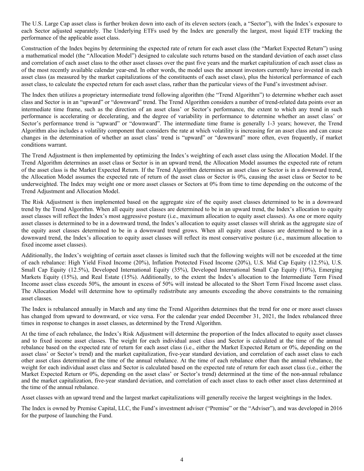The U.S. Large Cap asset class is further broken down into each of its eleven sectors (each, a "Sector"), with the Index's exposure to each Sector adjusted separately. The Underlying ETFs used by the Index are generally the largest, most liquid ETF tracking the performance of the applicable asset class.

Construction of the Index begins by determining the expected rate of return for each asset class (the "Market Expected Return") using a mathematical model (the "Allocation Model") designed to calculate such returns based on the standard deviation of each asset class and correlation of each asset class to the other asset classes over the past five years and the market capitalization of each asset class as of the most recently available calendar year-end. In other words, the model uses the amount investors currently have invested in each asset class (as measured by the market capitalizations of the constituents of each asset class), plus the historical performance of each asset class, to calculate the expected return for each asset class, rather than the particular views of the Fund's investment adviser.

The Index then utilizes a proprietary intermediate trend following algorithm (the "Trend Algorithm") to determine whether each asset class and Sector is in an "upward" or "downward" trend. The Trend Algorithm considers a number of trend-related data points over an intermediate time frame, such as the direction of an asset class' or Sector's performance, the extent to which any trend in such performance is accelerating or decelerating, and the degree of variability in performance to determine whether an asset class' or Sector's performance trend is "upward" or "downward". The intermediate time frame is generally 1-3 years; however, the Trend Algorithm also includes a volatility component that considers the rate at which volatility is increasing for an asset class and can cause changes in the determination of whether an asset class' trend is "upward" or "downward" more often, even frequently, if market conditions warrant.

The Trend Adjustment is then implemented by optimizing the Index's weighting of each asset class using the Allocation Model. If the Trend Algorithm determines an asset class or Sector is in an upward trend, the Allocation Model assumes the expected rate of return of the asset class is the Market Expected Return. If the Trend Algorithm determines an asset class or Sector is in a downward trend, the Allocation Model assumes the expected rate of return of the asset class or Sector is 0%, causing the asset class or Sector to be underweighted. The Index may weight one or more asset classes or Sectors at 0% from time to time depending on the outcome of the Trend Adjustment and Allocation Model.

The Risk Adjustment is then implemented based on the aggregate size of the equity asset classes determined to be in a downward trend by the Trend Algorithm. When all equity asset classes are determined to be in an upward trend, the Index's allocation to equity asset classes will reflect the Index's most aggressive posture (i.e., maximum allocation to equity asset classes). As one or more equity asset classes is determined to be in a downward trend, the Index's allocation to equity asset classes will shrink as the aggregate size of the equity asset classes determined to be in a downward trend grows. When all equity asset classes are determined to be in a downward trend, the Index's allocation to equity asset classes will reflect its most conservative posture (i.e., maximum allocation to fixed income asset classes).

Additionally, the Index's weighting of certain asset classes is limited such that the following weights will not be exceeded at the time of each rebalance: High Yield Fixed Income (20%), Inflation Protected Fixed Income (20%), U.S. Mid Cap Equity (12.5%), U.S. Small Cap Equity (12.5%), Developed International Equity (35%), Developed International Small Cap Equity (10%), Emerging Markets Equity (15%), and Real Estate (15%). Additionally, to the extent the Index's allocation to the Intermediate Term Fixed Income asset class exceeds 50%, the amount in excess of 50% will instead be allocated to the Short Term Fixed Income asset class. The Allocation Model will determine how to optimally redistribute any amounts exceeding the above constraints to the remaining asset classes.

The Index is rebalanced annually in March and any time the Trend Algorithm determines that the trend for one or more asset classes has changed from upward to downward, or vice versa. For the calendar year ended December 31, 2021, the Index rebalanced three times in response to changes in asset classes, as determined by the Trend Algorithm.

At the time of each rebalance, the Index's Risk Adjustment will determine the proportion of the Index allocated to equity asset classes and to fixed income asset classes. The weight for each individual asset class and Sector is calculated at the time of the annual rebalance based on the expected rate of return for each asset class (i.e., either the Market Expected Return or 0%, depending on the asset class' or Sector's trend) and the market capitalization, five-year standard deviation, and correlation of each asset class to each other asset class determined at the time of the annual rebalance. At the time of each rebalance other than the annual rebalance, the weight for each individual asset class and Sector is calculated based on the expected rate of return for each asset class (i.e., either the Market Expected Return or 0%, depending on the asset class' or Sector's trend) determined at the time of the non-annual rebalance and the market capitalization, five-year standard deviation, and correlation of each asset class to each other asset class determined at the time of the annual rebalance.

Asset classes with an upward trend and the largest market capitalizations will generally receive the largest weightings in the Index.

The Index is owned by Premise Capital, LLC, the Fund's investment adviser ("Premise" or the "Adviser"), and was developed in 2016 for the purpose of launching the Fund.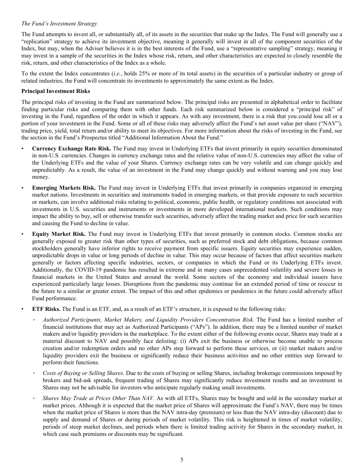# <span id="page-4-0"></span>*The Fund's Investment Strategy*

The Fund attempts to invest all, or substantially all, of its assets in the securities that make up the Index. The Fund will generally use a "replication" strategy to achieve its investment objective, meaning it generally will invest in all of the component securities of the Index, but may, when the Adviser believes it is in the best interests of the Fund, use a "representative sampling" strategy, meaning it may invest in a sample of the securities in the Index whose risk, return, and other characteristics are expected to closely resemble the risk, return, and other characteristics of the Index as a whole.

To the extent the Index concentrates (*i.e.*, holds 25% or more of its total assets) in the securities of a particular industry or group of related industries, the Fund will concentrate its investments to approximately the same extent as the Index.

# **Principal Investment Risks**

The principal risks of investing in the Fund are summarized below. The principal risks are presented in alphabetical order to facilitate finding particular risks and comparing them with other funds. Each risk summarized below is considered a "principal risk" of investing in the Fund, regardless of the order in which it appears. As with any investment, there is a risk that you could lose all or a portion of your investment in the Fund. Some or all of these risks may adversely affect the Fund's net asset value per share ("NAV"), trading price, yield, total return and/or ability to meet its objectives. For more information about the risks of investing in the Fund, see the section in the Fund's Prospectus titled "Additional Information About the Fund."

- **Currency Exchange Rate Risk.** The Fund may invest in Underlying ETFs that invest primarily in equity securities denominated in non-U.S. currencies. Changes in currency exchange rates and the relative value of non-U.S. currencies may affect the value of the Underlying ETFs and the value of your Shares. Currency exchange rates can be very volatile and can change quickly and unpredictably. As a result, the value of an investment in the Fund may change quickly and without warning and you may lose money.
- **Emerging Markets Risk.** The Fund may invest in Underlying ETFs that invest primarily in companies organized in emerging market nations. Investments in securities and instruments traded in emerging markets, or that provide exposure to such securities or markets, can involve additional risks relating to political, economic, public health, or regulatory conditions not associated with investments in U.S. securities and instruments or investments in more developed international markets. Such conditions may impact the ability to buy, sell or otherwise transfer such securities, adversely affect the trading market and price for such securities and causing the Fund to decline in value.
- **Equity Market Risk.** The Fund may invest in Underlying ETFs that invest primarily in common stocks. Common stocks are generally exposed to greater risk than other types of securities, such as preferred stock and debt obligations, because common stockholders generally have inferior rights to receive payment from specific issuers. Equity securities may experience sudden, unpredictable drops in value or long periods of decline in value. This may occur because of factors that affect securities markets generally or factors affecting specific industries, sectors, or companies in which the Fund or its Underlying ETFs invest. Additionally, the COVID-19 pandemic has resulted in extreme and in many cases unprecedented volatility and severe losses in financial markets in the United States and around the world. Some sectors of the economy and individual issuers have experienced particularly large losses. Disruptions from the pandemic may continue for an extended period of time or reoccur in the future to a similar or greater extent. The impact of this and other epidemics or pandemics in the future could adversely affect Fund performance.

• **ETF Risks.** The Fund is an ETF, and, as a result of an ETF's structure, it is exposed to the following risks:

- *Authorized Participants, Market Makers, and Liquidity Providers Concentration Risk.* The Fund has a limited number of financial institutions that may act as Authorized Participants ("APs"). In addition, there may be a limited number of market makers and/or liquidity providers in the marketplace. To the extent either of the following events occur, Shares may trade at a material discount to NAV and possibly face delisting: (i) APs exit the business or otherwise become unable to process creation and/or redemption orders and no other APs step forward to perform these services, or (ii) market makers and/or liquidity providers exit the business or significantly reduce their business activities and no other entities step forward to perform their functions.
- *Costs of Buying or Selling Shares.* Due to the costs of buying or selling Shares, including brokerage commissions imposed by brokers and bid-ask spreads, frequent trading of Shares may significantly reduce investment results and an investment in Shares may not be advisable for investors who anticipate regularly making small investments.
- *Shares May Trade at Prices Other Than NAV.* As with all ETFs, Shares may be bought and sold in the secondary market at market prices. Although it is expected that the market price of Shares will approximate the Fund's NAV, there may be times when the market price of Shares is more than the NAV intra-day (premium) or less than the NAV intra-day (discount) due to supply and demand of Shares or during periods of market volatility. This risk is heightened in times of market volatility, periods of steep market declines, and periods when there is limited trading activity for Shares in the secondary market, in which case such premiums or discounts may be significant.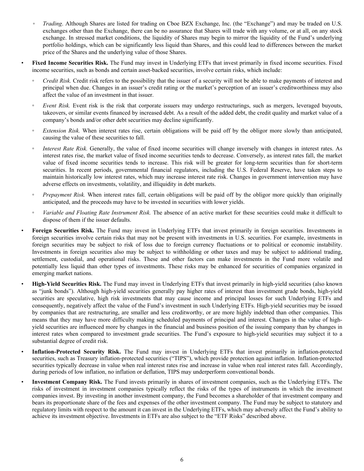- *Trading*. Although Shares are listed for trading on Cboe BZX Exchange, Inc. (the "Exchange") and may be traded on U.S. exchanges other than the Exchange, there can be no assurance that Shares will trade with any volume, or at all, on any stock exchange. In stressed market conditions, the liquidity of Shares may begin to mirror the liquidity of the Fund's underlying portfolio holdings, which can be significantly less liquid than Shares, and this could lead to differences between the market price of the Shares and the underlying value of those Shares.
- **Fixed Income Securities Risk.** The Fund may invest in Underlying ETFs that invest primarily in fixed income securities. Fixed income securities, such as bonds and certain asset-backed securities, involve certain risks, which include:
- *Credit Risk.* Credit risk refers to the possibility that the issuer of a security will not be able to make payments of interest and principal when due. Changes in an issuer's credit rating or the market's perception of an issuer's creditworthiness may also affect the value of an investment in that issuer.
- *Event Risk.* Event risk is the risk that corporate issuers may undergo restructurings, such as mergers, leveraged buyouts, takeovers, or similar events financed by increased debt. As a result of the added debt, the credit quality and market value of a company's bonds and/or other debt securities may decline significantly.
- *Extension Risk.* When interest rates rise, certain obligations will be paid off by the obligor more slowly than anticipated, causing the value of these securities to fall.
- *Interest Rate Risk.* Generally, the value of fixed income securities will change inversely with changes in interest rates. As interest rates rise, the market value of fixed income securities tends to decrease. Conversely, as interest rates fall, the market value of fixed income securities tends to increase. This risk will be greater for long-term securities than for short-term securities. In recent periods, governmental financial regulators, including the U.S. Federal Reserve, have taken steps to maintain historically low interest rates, which may increase interest rate risk. Changes in government intervention may have adverse effects on investments, volatility, and illiquidity in debt markets.
- *Prepayment Risk.* When interest rates fall, certain obligations will be paid off by the obligor more quickly than originally anticipated, and the proceeds may have to be invested in securities with lower yields.
- *Variable and Floating Rate Instrument Risk.* The absence of an active market for these securities could make it difficult to dispose of them if the issuer defaults.
- **Foreign Securities Risk.** The Fund may invest in Underlying ETFs that invest primarily in foreign securities. Investments in foreign securities involve certain risks that may not be present with investments in U.S. securities. For example, investments in foreign securities may be subject to risk of loss due to foreign currency fluctuations or to political or economic instability. Investments in foreign securities also may be subject to withholding or other taxes and may be subject to additional trading, settlement, custodial, and operational risks. These and other factors can make investments in the Fund more volatile and potentially less liquid than other types of investments. These risks may be enhanced for securities of companies organized in emerging market nations.
- **High-Yield Securities Risk.** The Fund may invest in Underlying ETFs that invest primarily in high-yield securities (also known as "junk bonds"). Although high-yield securities generally pay higher rates of interest than investment grade bonds, high-yield securities are speculative, high risk investments that may cause income and principal losses for such Underlying ETFs and consequently, negatively affect the value of the Fund's investment in such Underlying ETFs. High-yield securities may be issued by companies that are restructuring, are smaller and less creditworthy, or are more highly indebted than other companies. This means that they may have more difficulty making scheduled payments of principal and interest. Changes in the value of highyield securities are influenced more by changes in the financial and business position of the issuing company than by changes in interest rates when compared to investment grade securities. The Fund's exposure to high-yield securities may subject it to a substantial degree of credit risk.
- **Inflation-Protected Security Risk.** The Fund may invest in Underlying ETFs that invest primarily in inflation-protected securities, such as Treasury inflation-protected securities ("TIPS"), which provide protection against inflation. Inflation-protected securities typically decrease in value when real interest rates rise and increase in value when real interest rates fall. Accordingly, during periods of low inflation, no inflation or deflation, TIPS may underperform conventional bonds.
- **Investment Company Risk.** The Fund invests primarily in shares of investment companies, such as the Underlying ETFs. The risks of investment in investment companies typically reflect the risks of the types of instruments in which the investment companies invest. By investing in another investment company, the Fund becomes a shareholder of that investment company and bears its proportionate share of the fees and expenses of the other investment company. The Fund may be subject to statutory and regulatory limits with respect to the amount it can invest in the Underlying ETFs, which may adversely affect the Fund's ability to achieve its investment objective. Investments in ETFs are also subject to the "ETF Risks" described above.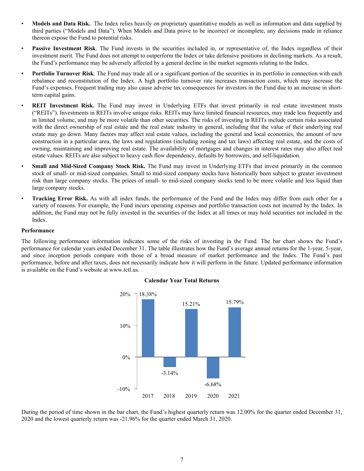- <span id="page-6-0"></span>• **Models and Data Risk.** The Index relies heavily on proprietary quantitative models as well as information and data supplied by third parties ("Models and Data"). When Models and Data prove to be incorrect or incomplete, any decisions made in reliance thereon expose the Fund to potential risks.
- **Passive Investment Risk**. The Fund invests in the securities included in, or representative of, the Index regardless of their investment merit. The Fund does not attempt to outperform the Index or take defensive positions in declining markets. As a result, the Fund's performance may be adversely affected by a general decline in the market segments relating to the Index.
- **• Portfolio Turnover Risk**. The Fund may trade all or a significant portion of the securities in its portfolio in connection with each rebalance and reconstitution of the Index. A high portfolio turnover rate increases transaction costs, which may increase the Fund's expenses. Frequent trading may also cause adverse tax consequences for investors in the Fund due to an increase in shortterm capital gains.
- **REIT Investment Risk.** The Fund may invest in Underlying ETFs that invest primarily in real estate investment trusts ("REITs"). Investments in REITs involve unique risks. REITs may have limited financial resources, may trade less frequently and in limited volume, and may be more volatile than other securities. The risks of investing in REITs include certain risks associated with the direct ownership of real estate and the real estate industry in general, including that the value of their underlying real estate may go down. Many factors may affect real estate values, including the general and local economies, the amount of new construction in a particular area, the laws and regulations (including zoning and tax laws) affecting real estate, and the costs of owning, maintaining and improving real estate. The availability of mortgages and changes in interest rates may also affect real estate values. REITs are also subject to heavy cash flow dependency, defaults by borrowers, and self-liquidation.
- **Small and Mid-Sized Company Stock Risk.** The Fund may invest in Underlying ETFs that invest primarily in the common stock of small- or mid-sized companies. Small to mid-sized company stocks have historically been subject to greater investment risk than large company stocks. The prices of small- to mid-sized company stocks tend to be more volatile and less liquid than large company stocks.
- **Tracking Error Risk.** As with all index funds, the performance of the Fund and the Index may differ from each other for a variety of reasons. For example, the Fund incurs operating expenses and portfolio transaction costs not incurred by the Index. In addition, the Fund may not be fully invested in the securities of the Index at all times or may hold securities not included in the Index.

#### **Performance**

The following performance information indicates some of the risks of investing in the Fund. The bar chart shows the Fund's performance for calendar years ended December 31. The table illustrates how the Fund's average annual returns for the 1-year, 5-year, and since inception periods compare with those of a broad measure of market performance and the Index. The Fund's past performance, before and after taxes, does not necessarily indicate how it will perform in the future. Updated performance information is available on the Fund's website at www.tctl.us.



#### **Calendar Year Total Returns**

During the period of time shown in the bar chart, the Fund's highest quarterly return was 12.00% for the quarter ended December 31, 2020 and the lowest quarterly return was -21.96% for the quarter ended March 31, 2020.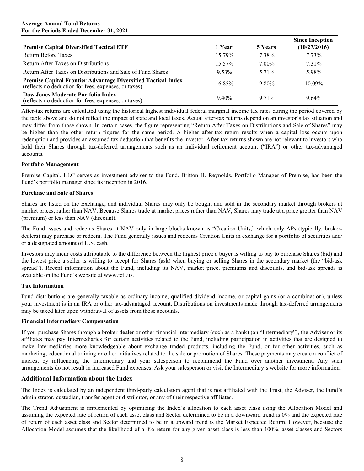<span id="page-7-0"></span>

| <b>Premise Capital Diversified Tactical ETF</b>                                                                       | 1 Year   | 5 Years  | <b>Since Inception</b><br>(10/27/2016) |
|-----------------------------------------------------------------------------------------------------------------------|----------|----------|----------------------------------------|
| Return Before Taxes                                                                                                   | 15.79%   | 7.38%    | 7.73%                                  |
| Return After Taxes on Distributions                                                                                   | 15.57%   | $7.00\%$ | 7.31%                                  |
| Return After Taxes on Distributions and Sale of Fund Shares                                                           | $9.53\%$ | 5.71%    | 5.98%                                  |
| Premise Capital Frontier Advantage Diversified Tactical Index<br>(reflects no deduction for fees, expenses, or taxes) | 1685%    | $9.80\%$ | $10.09\%$                              |
| <b>Dow Jones Moderate Portfolio Index</b><br>(reflects no deduction for fees, expenses, or taxes)                     | $9.40\%$ | 971%     | $9.64\%$                               |

After-tax returns are calculated using the historical highest individual federal marginal income tax rates during the period covered by the table above and do not reflect the impact of state and local taxes. Actual after-tax returns depend on an investor's tax situation and may differ from those shown. In certain cases, the figure representing "Return After Taxes on Distributions and Sale of Shares" may be higher than the other return figures for the same period. A higher after-tax return results when a capital loss occurs upon redemption and provides an assumed tax deduction that benefits the investor. After-tax returns shown are not relevant to investors who hold their Shares through tax-deferred arrangements such as an individual retirement account ("IRA") or other tax-advantaged accounts.

# **Portfolio Management**

Premise Capital, LLC serves as investment adviser to the Fund. Britton H. Reynolds, Portfolio Manager of Premise, has been the Fund's portfolio manager since its inception in 2016.

#### **Purchase and Sale of Shares**

Shares are listed on the Exchange, and individual Shares may only be bought and sold in the secondary market through brokers at market prices, rather than NAV. Because Shares trade at market prices rather than NAV, Shares may trade at a price greater than NAV (premium) or less than NAV (discount).

The Fund issues and redeems Shares at NAV only in large blocks known as "Creation Units," which only APs (typically, brokerdealers) may purchase or redeem. The Fund generally issues and redeems Creation Units in exchange for a portfolio of securities and/ or a designated amount of U.S. cash.

Investors may incur costs attributable to the difference between the highest price a buyer is willing to pay to purchase Shares (bid) and the lowest price a seller is willing to accept for Shares (ask) when buying or selling Shares in the secondary market (the "bid-ask spread"). Recent information about the Fund, including its NAV, market price, premiums and discounts, and bid-ask spreads is available on the Fund's website at www.tctl.us.

#### **Tax Information**

Fund distributions are generally taxable as ordinary income, qualified dividend income, or capital gains (or a combination), unless your investment is in an IRA or other tax-advantaged account. Distributions on investments made through tax-deferred arrangements may be taxed later upon withdrawal of assets from those accounts.

#### **Financial Intermediary Compensation**

If you purchase Shares through a broker-dealer or other financial intermediary (such as a bank) (an "Intermediary"), the Adviser or its affiliates may pay Intermediaries for certain activities related to the Fund, including participation in activities that are designed to make Intermediaries more knowledgeable about exchange traded products, including the Fund, or for other activities, such as marketing, educational training or other initiatives related to the sale or promotion of Shares. These payments may create a conflict of interest by influencing the Intermediary and your salesperson to recommend the Fund over another investment. Any such arrangements do not result in increased Fund expenses. Ask your salesperson or visit the Intermediary's website for more information.

# **Additional Information about the Index**

The Index is calculated by an independent third-party calculation agent that is not affiliated with the Trust, the Adviser, the Fund's administrator, custodian, transfer agent or distributor, or any of their respective affiliates.

The Trend Adjustment is implemented by optimizing the Index's allocation to each asset class using the Allocation Model and assuming the expected rate of return of each asset class and Sector determined to be in a downward trend is 0% and the expected rate of return of each asset class and Sector determined to be in a upward trend is the Market Expected Return. However, because the Allocation Model assumes that the likelihood of a 0% return for any given asset class is less than 100%, asset classes and Sectors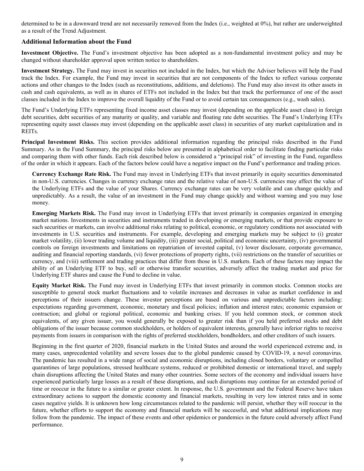<span id="page-8-0"></span>determined to be in a downward trend are not necessarily removed from the Index (i.e., weighted at 0%), but rather are underweighted as a result of the Trend Adjustment.

# **Additional Information about the Fund**

**Investment Objective.** The Fund's investment objective has been adopted as a non-fundamental investment policy and may be changed without shareholder approval upon written notice to shareholders.

**Investment Strategy.** The Fund may invest in securities not included in the Index, but which the Adviser believes will help the Fund track the Index. For example, the Fund may invest in securities that are not components of the Index to reflect various corporate actions and other changes to the Index (such as reconstitutions, additions, and deletions). The Fund may also invest its other assets in cash and cash equivalents, as well as in shares of ETFs not included in the Index but that track the performance of one of the asset classes included in the Index to improve the overall liquidity of the Fund or to avoid certain tax consequences (e.g., wash sales).

The Fund's Underlying ETFs representing fixed income asset classes may invest (depending on the applicable asset class) in foreign debt securities, debt securities of any maturity or quality, and variable and floating rate debt securities. The Fund's Underlying ETFs representing equity asset classes may invest (depending on the applicable asset class) in securities of any market capitalization and in REITs.

**Principal Investment Risks.** This section provides additional information regarding the principal risks described in the Fund Summary. As in the Fund Summary, the principal risks below are presented in alphabetical order to facilitate finding particular risks and comparing them with other funds. Each risk described below is considered a "principal risk" of investing in the Fund, regardless of the order in which it appears. Each of the factors below could have a negative impact on the Fund's performance and trading prices.

**Currency Exchange Rate Risk.** The Fund may invest in Underlying ETFs that invest primarily in equity securities denominated in non-U.S. currencies. Changes in currency exchange rates and the relative value of non-U.S. currencies may affect the value of the Underlying ETFs and the value of your Shares. Currency exchange rates can be very volatile and can change quickly and unpredictably. As a result, the value of an investment in the Fund may change quickly and without warning and you may lose money.

**Emerging Markets Risk.** The Fund may invest in Underlying ETFs that invest primarily in companies organized in emerging market nations. Investments in securities and instruments traded in developing or emerging markets, or that provide exposure to such securities or markets, can involve additional risks relating to political, economic, or regulatory conditions not associated with investments in U.S. securities and instruments. For example, developing and emerging markets may be subject to (i) greater market volatility, (ii) lower trading volume and liquidity, (iii) greater social, political and economic uncertainty, (iv) governmental controls on foreign investments and limitations on repatriation of invested capital, (v) lower disclosure, corporate governance, auditing and financial reporting standards, (vi) fewer protections of property rights, (vii) restrictions on the transfer of securities or currency, and (viii) settlement and trading practices that differ from those in U.S. markets. Each of these factors may impact the ability of an Underlying ETF to buy, sell or otherwise transfer securities, adversely affect the trading market and price for Underlying ETF shares and cause the Fund to decline in value.

**Equity Market Risk.** The Fund may invest in Underlying ETFs that invest primarily in common stocks. Common stocks are susceptible to general stock market fluctuations and to volatile increases and decreases in value as market confidence in and perceptions of their issuers change. These investor perceptions are based on various and unpredictable factors including: expectations regarding government, economic, monetary and fiscal policies; inflation and interest rates; economic expansion or contraction; and global or regional political, economic and banking crises. If you held common stock, or common stock equivalents, of any given issuer, you would generally be exposed to greater risk than if you held preferred stocks and debt obligations of the issuer because common stockholders, or holders of equivalent interests, generally have inferior rights to receive payments from issuers in comparison with the rights of preferred stockholders, bondholders, and other creditors of such issuers.

Beginning in the first quarter of 2020, financial markets in the United States and around the world experienced extreme and, in many cases, unprecedented volatility and severe losses due to the global pandemic caused by COVID-19, a novel coronavirus. The pandemic has resulted in a wide range of social and economic disruptions, including closed borders, voluntary or compelled quarantines of large populations, stressed healthcare systems, reduced or prohibited domestic or international travel, and supply chain disruptions affecting the United States and many other countries. Some sectors of the economy and individual issuers have experienced particularly large losses as a result of these disruptions, and such disruptions may continue for an extended period of time or reoccur in the future to a similar or greater extent. In response, the U.S. government and the Federal Reserve have taken extraordinary actions to support the domestic economy and financial markets, resulting in very low interest rates and in some cases negative yields. It is unknown how long circumstances related to the pandemic will persist, whether they will reoccur in the future, whether efforts to support the economy and financial markets will be successful, and what additional implications may follow from the pandemic. The impact of these events and other epidemics or pandemics in the future could adversely affect Fund performance.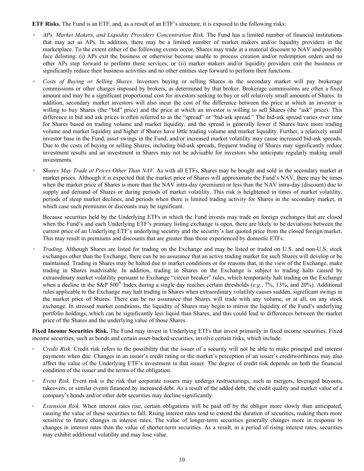**ETF Risks.** The Fund is an ETF, and, as a result of an ETF's structure, it is exposed to the following risks:

- *APs, Market Makers, and Liquidity Providers Concentration Risk.* The Fund has a limited number of financial institutions that may act as APs. In addition, there may be a limited number of market makers and/or liquidity providers in the marketplace. To the extent either of the following events occur, Shares may trade at a material discount to NAV and possibly face delisting: (i) APs exit the business or otherwise become unable to process creation and/or redemption orders and no other APs step forward to perform these services, or (ii) market makers and/or liquidity providers exit the business or significantly reduce their business activities and no other entities step forward to perform their functions.
- *Costs of Buying or Selling Shares.* Investors buying or selling Shares in the secondary market will pay brokerage commissions or other charges imposed by brokers, as determined by that broker. Brokerage commissions are often a fixed amount and may be a significant proportional cost for investors seeking to buy or sell relatively small amounts of Shares. In addition, secondary market investors will also incur the cost of the difference between the price at which an investor is willing to buy Shares (the "bid" price) and the price at which an investor is willing to sell Shares (the "ask" price). This difference in bid and ask prices is often referred to as the "spread" or "bid-ask spread." The bid-ask spread varies over time for Shares based on trading volume and market liquidity, and the spread is generally lower if Shares have more trading volume and market liquidity and higher if Shares have little trading volume and market liquidity. Further, a relatively small investor base in the Fund, asset swings in the Fund, and/or increased market volatility may cause increased bid-ask spreads. Due to the costs of buying or selling Shares, including bid-ask spreads, frequent trading of Shares may significantly reduce investment results and an investment in Shares may not be advisable for investors who anticipate regularly making small investments.
- *Shares May Trade at Prices Other Than NAV.* As with all ETFs, Shares may be bought and sold in the secondary market at market prices. Although it is expected that the market price of Shares will approximate the Fund's NAV, there may be times when the market price of Shares is more than the NAV intra-day (premium) or less than the NAV intra-day (discount) due to supply and demand of Shares or during periods of market volatility. This risk is heightened in times of market volatility, periods of steep market declines, and periods when there is limited trading activity for Shares in the secondary market, in which case such premiums or discounts may be significant.

Because securities held by the Underlying ETFs in which the Fund invests may trade on foreign exchanges that are closed when the Fund's and each Underlying ETF's primary listing exchange is open, there are likely to be deviations between the current price of an Underlying ETF's underlying security and the security's last quoted price from the closed foreign market. This may result in premiums and discounts that are greater than those experienced by domestic ETFs.

◦ *Trading*. Although Shares are listed for trading on the Exchange and may be listed or traded on U.S. and non-U.S. stock exchanges other than the Exchange, there can be no assurance that an active trading market for such Shares will develop or be maintained. Trading in Shares may be halted due to market conditions or for reasons that, in the view of the Exchange, make trading in Shares inadvisable. In addition, trading in Shares on the Exchange is subject to trading halts caused by extraordinary market volatility pursuant to Exchange "circuit breaker" rules, which temporarily halt trading on the Exchange when a decline in the S&P 500® Index during a single day reaches certain thresholds (*e.g.*, 7%, 13%, and 20%). Additional rules applicable to the Exchange may halt trading in Shares when extraordinary volatility causes sudden, significant swings in the market price of Shares. There can be no assurance that Shares will trade with any volume, or at all, on any stock exchange. In stressed market conditions, the liquidity of Shares may begin to mirror the liquidity of the Fund's underlying portfolio holdings, which can be significantly less liquid than Shares, and this could lead to differences between the market price of the Shares and the underlying value of those Shares.

**Fixed Income Securities Risk.** The Fund may invest in Underlying ETFs that invest primarily in fixed income securities. Fixed income securities, such as bonds and certain asset-backed securities, involve certain risks, which include:

- *Credit Risk.* Credit risk refers to the possibility that the issuer of a security will not be able to make principal and interest payments when due. Changes in an issuer's credit rating or the market's perception of an issuer's creditworthiness may also affect the value of the Underlying ETF's investment in that issuer. The degree of credit risk depends on both the financial condition of the issuer and the terms of the obligation.
- *Event Risk.* Event risk is the risk that corporate issuers may undergo restructurings, such as mergers, leveraged buyouts, takeovers, or similar events financed by increased debt. As a result of the added debt, the credit quality and market value of a company's bonds and/or other debt securities may decline significantly.
- *Extension Risk.* When interest rates rise, certain obligations will be paid off by the obligor more slowly than anticipated, causing the value of these securities to fall. Rising interest rates tend to extend the duration of securities, making them more sensitive to future changes in interest rates. The value of longer-term securities generally changes more in response to changes in interest rates than the value of shorter-term securities. As a result, in a period of rising interest rates, securities may exhibit additional volatility and may lose value.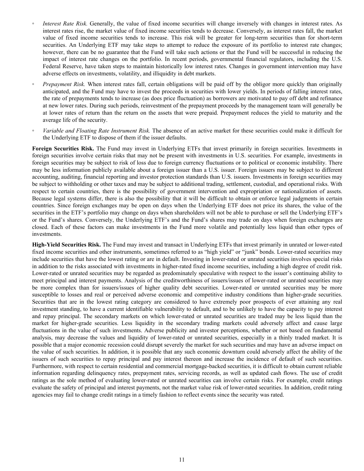- *Interest Rate Risk.* Generally, the value of fixed income securities will change inversely with changes in interest rates. As interest rates rise, the market value of fixed income securities tends to decrease. Conversely, as interest rates fall, the market value of fixed income securities tends to increase. This risk will be greater for long-term securities than for short-term securities. An Underlying ETF may take steps to attempt to reduce the exposure of its portfolio to interest rate changes; however, there can be no guarantee that the Fund will take such actions or that the Fund will be successful in reducing the impact of interest rate changes on the portfolio. In recent periods, governmental financial regulators, including the U.S. Federal Reserve, have taken steps to maintain historically low interest rates. Changes in government intervention may have adverse effects on investments, volatility, and illiquidity in debt markets.
- *Prepayment Risk*. When interest rates fall, certain obligations will be paid off by the obligor more quickly than originally anticipated, and the Fund may have to invest the proceeds in securities with lower yields. In periods of falling interest rates, the rate of prepayments tends to increase (as does price fluctuation) as borrowers are motivated to pay off debt and refinance at new lower rates. During such periods, reinvestment of the prepayment proceeds by the management team will generally be at lower rates of return than the return on the assets that were prepaid. Prepayment reduces the yield to maturity and the average life of the security.
- *◦ Variable and Floating Rate Instrument Risk.* The absence of an active market for these securities could make it difficult for the Underlying ETF to dispose of them if the issuer defaults.

**Foreign Securities Risk.** The Fund may invest in Underlying ETFs that invest primarily in foreign securities. Investments in foreign securities involve certain risks that may not be present with investments in U.S. securities. For example, investments in foreign securities may be subject to risk of loss due to foreign currency fluctuations or to political or economic instability. There may be less information publicly available about a foreign issuer than a U.S. issuer. Foreign issuers may be subject to different accounting, auditing, financial reporting and investor protection standards than U.S. issuers. Investments in foreign securities may be subject to withholding or other taxes and may be subject to additional trading, settlement, custodial, and operational risks. With respect to certain countries, there is the possibility of government intervention and expropriation or nationalization of assets. Because legal systems differ, there is also the possibility that it will be difficult to obtain or enforce legal judgments in certain countries. Since foreign exchanges may be open on days when the Underlying ETF does not price its shares, the value of the securities in the ETF's portfolio may change on days when shareholders will not be able to purchase or sell the Underlying ETF's or the Fund's shares. Conversely, the Underlying ETF's and the Fund's shares may trade on days when foreign exchanges are closed. Each of these factors can make investments in the Fund more volatile and potentially less liquid than other types of investments.

**High-Yield Securities Risk.** The Fund may invest and transact in Underlying ETFs that invest primarily in unrated or lower-rated fixed income securities and other instruments, sometimes referred to as "high yield" or "junk" bonds. Lower-rated securities may include securities that have the lowest rating or are in default. Investing in lower-rated or unrated securities involves special risks in addition to the risks associated with investments in higher-rated fixed income securities, including a high degree of credit risk. Lower-rated or unrated securities may be regarded as predominately speculative with respect to the issuer's continuing ability to meet principal and interest payments. Analysis of the creditworthiness of issuers/issues of lower-rated or unrated securities may be more complex than for issuers/issues of higher quality debt securities. Lower-rated or unrated securities may be more susceptible to losses and real or perceived adverse economic and competitive industry conditions than higher-grade securities. Securities that are in the lowest rating category are considered to have extremely poor prospects of ever attaining any real investment standing, to have a current identifiable vulnerability to default, and to be unlikely to have the capacity to pay interest and repay principal. The secondary markets on which lower-rated or unrated securities are traded may be less liquid than the market for higher-grade securities. Less liquidity in the secondary trading markets could adversely affect and cause large fluctuations in the value of such investments. Adverse publicity and investor perceptions, whether or not based on fundamental analysis, may decrease the values and liquidity of lower-rated or unrated securities, especially in a thinly traded market. It is possible that a major economic recession could disrupt severely the market for such securities and may have an adverse impact on the value of such securities. In addition, it is possible that any such economic downturn could adversely affect the ability of the issuers of such securities to repay principal and pay interest thereon and increase the incidence of default of such securities. Furthermore, with respect to certain residential and commercial mortgage-backed securities, it is difficult to obtain current reliable information regarding delinquency rates, prepayment rates, servicing records, as well as updated cash flows. The use of credit ratings as the sole method of evaluating lower-rated or unrated securities can involve certain risks. For example, credit ratings evaluate the safety of principal and interest payments, not the market value risk of lower-rated securities. In addition, credit rating agencies may fail to change credit ratings in a timely fashion to reflect events since the security was rated.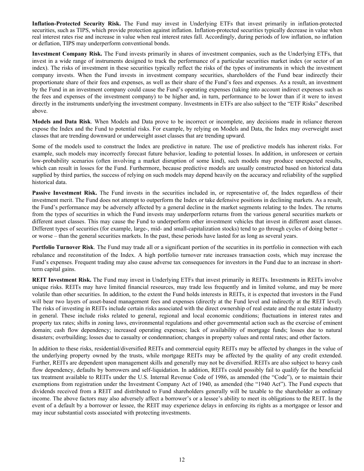**Inflation-Protected Security Risk.** The Fund may invest in Underlying ETFs that invest primarily in inflation-protected securities, such as TIPS, which provide protection against inflation. Inflation-protected securities typically decrease in value when real interest rates rise and increase in value when real interest rates fall. Accordingly, during periods of low inflation, no inflation or deflation, TIPS may underperform conventional bonds.

**Investment Company Risk.** The Fund invests primarily in shares of investment companies, such as the Underlying ETFs, that invest in a wide range of instruments designed to track the performance of a particular securities market index (or sector of an index). The risks of investment in these securities typically reflect the risks of the types of instruments in which the investment company invests. When the Fund invests in investment company securities, shareholders of the Fund bear indirectly their proportionate share of their fees and expenses, as well as their share of the Fund's fees and expenses. As a result, an investment by the Fund in an investment company could cause the Fund's operating expenses (taking into account indirect expenses such as the fees and expenses of the investment company) to be higher and, in turn, performance to be lower than if it were to invest directly in the instruments underlying the investment company. Investments in ETFs are also subject to the "ETF Risks" described above.

**Models and Data Risk**. When Models and Data prove to be incorrect or incomplete, any decisions made in reliance thereon expose the Index and the Fund to potential risks. For example, by relying on Models and Data, the Index may overweight asset classes that are trending downward or underweight asset classes that are trending upward.

Some of the models used to construct the Index are predictive in nature. The use of predictive models has inherent risks. For example, such models may incorrectly forecast future behavior, leading to potential losses. In addition, in unforeseen or certain low-probability scenarios (often involving a market disruption of some kind), such models may produce unexpected results, which can result in losses for the Fund. Furthermore, because predictive models are usually constructed based on historical data supplied by third parties, the success of relying on such models may depend heavily on the accuracy and reliability of the supplied historical data.

**Passive Investment Risk.** The Fund invests in the securities included in, or representative of, the Index regardless of their investment merit. The Fund does not attempt to outperform the Index or take defensive positions in declining markets. As a result, the Fund's performance may be adversely affected by a general decline in the market segments relating to the Index. The returns from the types of securities in which the Fund invests may underperform returns from the various general securities markets or different asset classes. This may cause the Fund to underperform other investment vehicles that invest in different asset classes. Different types of securities (for example, large-, mid- and small-capitalization stocks) tend to go through cycles of doing better – or worse – than the general securities markets. In the past, these periods have lasted for as long as several years.

**Portfolio Turnover Risk**. The Fund may trade all or a significant portion of the securities in its portfolio in connection with each rebalance and reconstitution of the Index. A high portfolio turnover rate increases transaction costs, which may increase the Fund's expenses. Frequent trading may also cause adverse tax consequences for investors in the Fund due to an increase in shortterm capital gains.

**REIT Investment Risk.** The Fund may invest in Underlying ETFs that invest primarily in REITs. Investments in REITs involve unique risks. REITs may have limited financial resources, may trade less frequently and in limited volume, and may be more volatile than other securities. In addition, to the extent the Fund holds interests in REITs, it is expected that investors in the Fund will bear two layers of asset-based management fees and expenses (directly at the Fund level and indirectly at the REIT level). The risks of investing in REITs include certain risks associated with the direct ownership of real estate and the real estate industry in general. These include risks related to general, regional and local economic conditions; fluctuations in interest rates and property tax rates; shifts in zoning laws, environmental regulations and other governmental action such as the exercise of eminent domain; cash flow dependency; increased operating expenses; lack of availability of mortgage funds; losses due to natural disasters; overbuilding; losses due to casualty or condemnation; changes in property values and rental rates; and other factors.

In addition to these risks, residential/diversified REITs and commercial equity REITs may be affected by changes in the value of the underlying property owned by the trusts, while mortgage REITs may be affected by the quality of any credit extended. Further, REITs are dependent upon management skills and generally may not be diversified. REITs are also subject to heavy cash flow dependency, defaults by borrowers and self-liquidation. In addition, REITs could possibly fail to qualify for the beneficial tax treatment available to REITs under the U.S. Internal Revenue Code of 1986, as amended (the "Code"), or to maintain their exemptions from registration under the Investment Company Act of 1940, as amended (the "1940 Act"). The Fund expects that dividends received from a REIT and distributed to Fund shareholders generally will be taxable to the shareholder as ordinary income. The above factors may also adversely affect a borrower's or a lessee's ability to meet its obligations to the REIT. In the event of a default by a borrower or lessee, the REIT may experience delays in enforcing its rights as a mortgagee or lessor and may incur substantial costs associated with protecting investments.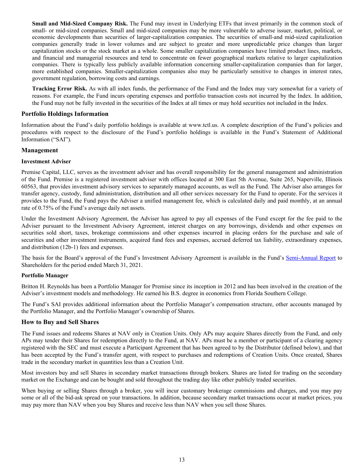<span id="page-12-0"></span>**Small and Mid-Sized Company Risk.** The Fund may invest in Underlying ETFs that invest primarily in the common stock of small- or mid-sized companies. Small and mid-sized companies may be more vulnerable to adverse issuer, market, political, or economic developments than securities of larger-capitalization companies. The securities of small-and mid-sized capitalization companies generally trade in lower volumes and are subject to greater and more unpredictable price changes than larger capitalization stocks or the stock market as a whole. Some smaller capitalization companies have limited product lines, markets, and financial and managerial resources and tend to concentrate on fewer geographical markets relative to larger capitalization companies. There is typically less publicly available information concerning smaller-capitalization companies than for larger, more established companies. Smaller-capitalization companies also may be particularly sensitive to changes in interest rates, government regulation, borrowing costs and earnings.

**Tracking Error Risk.** As with all index funds, the performance of the Fund and the Index may vary somewhat for a variety of reasons. For example, the Fund incurs operating expenses and portfolio transaction costs not incurred by the Index. In addition, the Fund may not be fully invested in the securities of the Index at all times or may hold securities not included in the Index.

# **Portfolio Holdings Information**

Information about the Fund's daily portfolio holdings is available at www.tctl.us. A complete description of the Fund's policies and procedures with respect to the disclosure of the Fund's portfolio holdings is available in the Fund's Statement of Additional Information ("SAI").

# **Management**

# **Investment Adviser**

Premise Capital, LLC, serves as the investment adviser and has overall responsibility for the general management and administration of the Fund. Premise is a registered investment adviser with offices located at 300 East 5th Avenue, Suite 265, Naperville, Illinois 60563, that provides investment advisory services to separately managed accounts, as well as the Fund. The Adviser also arranges for transfer agency, custody, fund administration, distribution and all other services necessary for the Fund to operate. For the services it provides to the Fund, the Fund pays the Adviser a unified management fee, which is calculated daily and paid monthly, at an annual rate of 0.75% of the Fund's average daily net assets.

Under the Investment Advisory Agreement, the Adviser has agreed to pay all expenses of the Fund except for the fee paid to the Adviser pursuant to the Investment Advisory Agreement, interest charges on any borrowings, dividends and other expenses on securities sold short, taxes, brokerage commissions and other expenses incurred in placing orders for the purchase and sale of securities and other investment instruments, acquired fund fees and expenses, accrued deferred tax liability, extraordinary expenses, and distribution (12b-1) fees and expenses.

The basis for the Board's approval of the Fund's Investment Advisory Agreement is available in the Fund's [Semi-Annual Report](https://www.sec.gov/Archives/edgar/data/1540305/000139834421012664/fp0065667_ncsrs.htm) to Shareholders for the period ended March 31, 2021.

# **Portfolio Manager**

Britton H. Reynolds has been a Portfolio Manager for Premise since its inception in 2012 and has been involved in the creation of the Adviser's investment models and methodology. He earned his B.S. degree in economics from Florida Southern College.

The Fund's SAI provides additional information about the Portfolio Manager's compensation structure, other accounts managed by the Portfolio Manager, and the Portfolio Manager's ownership of Shares.

# **How to Buy and Sell Shares**

The Fund issues and redeems Shares at NAV only in Creation Units. Only APs may acquire Shares directly from the Fund, and only APs may tender their Shares for redemption directly to the Fund, at NAV. APs must be a member or participant of a clearing agency registered with the SEC and must execute a Participant Agreement that has been agreed to by the Distributor (defined below), and that has been accepted by the Fund's transfer agent, with respect to purchases and redemptions of Creation Units. Once created, Shares trade in the secondary market in quantities less than a Creation Unit.

Most investors buy and sell Shares in secondary market transactions through brokers. Shares are listed for trading on the secondary market on the Exchange and can be bought and sold throughout the trading day like other publicly traded securities.

When buying or selling Shares through a broker, you will incur customary brokerage commissions and charges, and you may pay some or all of the bid-ask spread on your transactions. In addition, because secondary market transactions occur at market prices, you may pay more than NAV when you buy Shares and receive less than NAV when you sell those Shares.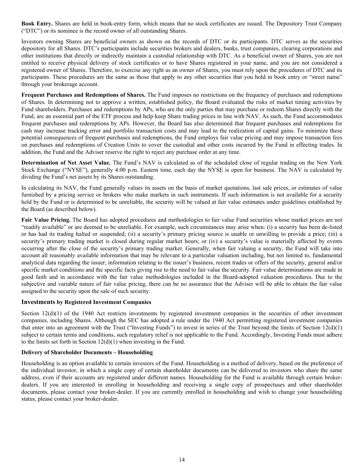<span id="page-13-0"></span>**Book Entry.** Shares are held in book-entry form, which means that no stock certificates are issued. The Depository Trust Company ("DTC") or its nominee is the record owner of all outstanding Shares.

Investors owning Shares are beneficial owners as shown on the records of DTC or its participants. DTC serves as the securities depository for all Shares. DTC's participants include securities brokers and dealers, banks, trust companies, clearing corporations and other institutions that directly or indirectly maintain a custodial relationship with DTC. As a beneficial owner of Shares, you are not entitled to receive physical delivery of stock certificates or to have Shares registered in your name, and you are not considered a registered owner of Shares. Therefore, to exercise any right as an owner of Shares, you must rely upon the procedures of DTC and its participants. These procedures are the same as those that apply to any other securities that you hold in book entry or "street name" through your brokerage account.

**Frequent Purchases and Redemptions of Shares.** The Fund imposes no restrictions on the frequency of purchases and redemptions of Shares. In determining not to approve a written, established policy, the Board evaluated the risks of market timing activities by Fund shareholders. Purchases and redemptions by APs, who are the only parties that may purchase or redeem Shares directly with the Fund, are an essential part of the ETF process and help keep Share trading prices in line with NAV. As such, the Fund accommodates frequent purchases and redemptions by APs. However, the Board has also determined that frequent purchases and redemptions for cash may increase tracking error and portfolio transaction costs and may lead to the realization of capital gains. To minimize these potential consequences of frequent purchases and redemptions, the Fund employs fair value pricing and may impose transaction fees on purchases and redemptions of Creation Units to cover the custodial and other costs incurred by the Fund in effecting trades. In addition, the Fund and the Adviser reserve the right to reject any purchase order at any time.

**Determination of Net Asset Value.** The Fund's NAV is calculated as of the scheduled close of regular trading on the New York Stock Exchange ("NYSE"), generally 4:00 p.m. Eastern time, each day the NYSE is open for business. The NAV is calculated by dividing the Fund's net assets by its Shares outstanding.

In calculating its NAV, the Fund generally values its assets on the basis of market quotations, last sale prices, or estimates of value furnished by a pricing service or brokers who make markets in such instruments. If such information is not available for a security held by the Fund or is determined to be unreliable, the security will be valued at fair value estimates under guidelines established by the Board (as described below).

Fair Value Pricing. The Board has adopted procedures and methodologies to fair value Fund securities whose market prices are not "readily available" or are deemed to be unreliable. For example, such circumstances may arise when: (i) a security has been de-listed or has had its trading halted or suspended; (ii) a security's primary pricing source is unable or unwilling to provide a price; (iii) a security's primary trading market is closed during regular market hours; or (iv) a security's value is materially affected by events occurring after the close of the security's primary trading market. Generally, when fair valuing a security, the Fund will take into account all reasonably available information that may be relevant to a particular valuation including, but not limited to, fundamental analytical data regarding the issuer, information relating to the issuer's business, recent trades or offers of the security, general and/or specific market conditions and the specific facts giving rise to the need to fair value the security. Fair value determinations are made in good faith and in accordance with the fair value methodologies included in the Board-adopted valuation procedures. Due to the subjective and variable nature of fair value pricing, there can be no assurance that the Adviser will be able to obtain the fair value assigned to the security upon the sale of such security.

# **Investments by Registered Investment Companies**

Section  $12(d)(1)$  of the 1940 Act restricts investments by registered investment companies in the securities of other investment companies, including Shares. Although the SEC has adopted a rule under the 1940 Act permitting registered investment companies that enter into an agreement with the Trust ("Investing Funds") to invest in series of the Trust beyond the limits of Section  $12(d)(1)$ subject to certain terms and conditions, such regulatory relief is not applicable to the Fund. Accordingly, Investing Funds must adhere to the limits set forth in Section 12(d)(1) when investing in the Fund.

#### **Delivery of Shareholder Documents – Householding**

Householding is an option available to certain investors of the Fund. Householding is a method of delivery, based on the preference of the individual investor, in which a single copy of certain shareholder documents can be delivered to investors who share the same address, even if their accounts are registered under different names. Householding for the Fund is available through certain brokerdealers. If you are interested in enrolling in householding and receiving a single copy of prospectuses and other shareholder documents, please contact your broker-dealer. If you are currently enrolled in householding and wish to change your householding status, please contact your broker-dealer.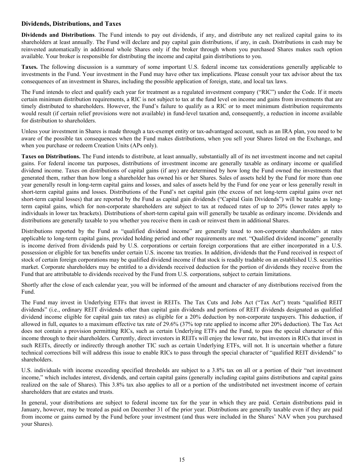# <span id="page-14-0"></span>**Dividends, Distributions, and Taxes**

**Dividends and Distributions**. The Fund intends to pay out dividends, if any, and distribute any net realized capital gains to its shareholders at least annually. The Fund will declare and pay capital gain distributions, if any, in cash. Distributions in cash may be reinvested automatically in additional whole Shares only if the broker through whom you purchased Shares makes such option available. Your broker is responsible for distributing the income and capital gain distributions to you.

**Taxes.** The following discussion is a summary of some important U.S. federal income tax considerations generally applicable to investments in the Fund. Your investment in the Fund may have other tax implications. Please consult your tax advisor about the tax consequences of an investment in Shares, including the possible application of foreign, state, and local tax laws.

The Fund intends to elect and qualify each year for treatment as a regulated investment company ("RIC") under the Code. If it meets certain minimum distribution requirements, a RIC is not subject to tax at the fund level on income and gains from investments that are timely distributed to shareholders. However, the Fund's failure to qualify as a RIC or to meet minimum distribution requirements would result (if certain relief provisions were not available) in fund-level taxation and, consequently, a reduction in income available for distribution to shareholders.

Unless your investment in Shares is made through a tax-exempt entity or tax-advantaged account, such as an IRA plan, you need to be aware of the possible tax consequences when the Fund makes distributions, when you sell your Shares listed on the Exchange, and when you purchase or redeem Creation Units (APs only).

**Taxes on Distributions.** The Fund intends to distribute, at least annually, substantially all of its net investment income and net capital gains. For federal income tax purposes, distributions of investment income are generally taxable as ordinary income or qualified dividend income. Taxes on distributions of capital gains (if any) are determined by how long the Fund owned the investments that generated them, rather than how long a shareholder has owned his or her Shares. Sales of assets held by the Fund for more than one year generally result in long-term capital gains and losses, and sales of assets held by the Fund for one year or less generally result in short-term capital gains and losses. Distributions of the Fund's net capital gain (the excess of net long-term capital gains over net short-term capital losses) that are reported by the Fund as capital gain dividends ("Capital Gain Dividends") will be taxable as longterm capital gains, which for non-corporate shareholders are subject to tax at reduced rates of up to 20% (lower rates apply to individuals in lower tax brackets). Distributions of short-term capital gain will generally be taxable as ordinary income. Dividends and distributions are generally taxable to you whether you receive them in cash or reinvest them in additional Shares.

Distributions reported by the Fund as "qualified dividend income" are generally taxed to non-corporate shareholders at rates applicable to long-term capital gains, provided holding period and other requirements are met. "Qualified dividend income" generally is income derived from dividends paid by U.S. corporations or certain foreign corporations that are either incorporated in a U.S. possession or eligible for tax benefits under certain U.S. income tax treaties. In addition, dividends that the Fund received in respect of stock of certain foreign corporations may be qualified dividend income if that stock is readily tradable on an established U.S. securities market. Corporate shareholders may be entitled to a dividends received deduction for the portion of dividends they receive from the Fund that are attributable to dividends received by the Fund from U.S. corporations, subject to certain limitations.

Shortly after the close of each calendar year, you will be informed of the amount and character of any distributions received from the Fund.

The Fund may invest in Underlying ETFs that invest in REITs. The Tax Cuts and Jobs Act ("Tax Act") treats "qualified REIT dividends" (i.e., ordinary REIT dividends other than capital gain dividends and portions of REIT dividends designated as qualified dividend income eligible for capital gain tax rates) as eligible for a 20% deduction by non-corporate taxpayers. This deduction, if allowed in full, equates to a maximum effective tax rate of 29.6% (37% top rate applied to income after 20% deduction). The Tax Act does not contain a provision permitting RICs, such as certain Underlying ETFs and the Fund, to pass the special character of this income through to their shareholders. Currently, direct investors in REITs will enjoy the lower rate, but investors in RICs that invest in such REITs, directly or indirectly through another TIC such as certain Underlying ETFs, will not. It is uncertain whether a future technical corrections bill will address this issue to enable RICs to pass through the special character of "qualified REIT dividends" to shareholders.

U.S. individuals with income exceeding specified thresholds are subject to a 3.8% tax on all or a portion of their "net investment income," which includes interest, dividends, and certain capital gains (generally including capital gains distributions and capital gains realized on the sale of Shares). This 3.8% tax also applies to all or a portion of the undistributed net investment income of certain shareholders that are estates and trusts.

In general, your distributions are subject to federal income tax for the year in which they are paid. Certain distributions paid in January, however, may be treated as paid on December 31 of the prior year. Distributions are generally taxable even if they are paid from income or gains earned by the Fund before your investment (and thus were included in the Shares' NAV when you purchased your Shares).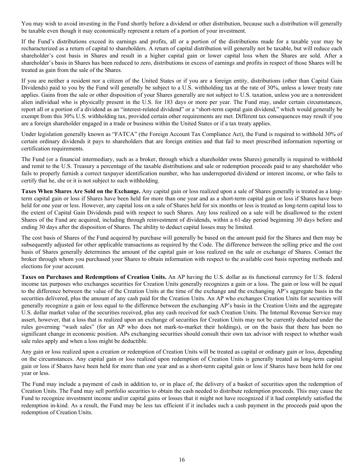You may wish to avoid investing in the Fund shortly before a dividend or other distribution, because such a distribution will generally be taxable even though it may economically represent a return of a portion of your investment.

If the Fund's distributions exceed its earnings and profits, all or a portion of the distributions made for a taxable year may be recharacterized as a return of capital to shareholders. A return of capital distribution will generally not be taxable, but will reduce each shareholder's cost basis in Shares and result in a higher capital gain or lower capital loss when the Shares are sold. After a shareholder's basis in Shares has been reduced to zero, distributions in excess of earnings and profits in respect of those Shares will be treated as gain from the sale of the Shares.

If you are neither a resident nor a citizen of the United States or if you are a foreign entity, distributions (other than Capital Gain Dividends) paid to you by the Fund will generally be subject to a U.S. withholding tax at the rate of 30%, unless a lower treaty rate applies. Gains from the sale or other disposition of your Shares generally are not subject to U.S. taxation, unless you are a nonresident alien individual who is physically present in the U.S. for 183 days or more per year. The Fund may, under certain circumstances, report all or a portion of a dividend as an "interest-related dividend" or a "short-term capital gain dividend," which would generally be exempt from this 30% U.S. withholding tax, provided certain other requirements are met. Different tax consequences may result if you are a foreign shareholder engaged in a trade or business within the United States or if a tax treaty applies.

Under legislation generally known as "FATCA" (the Foreign Account Tax Compliance Act), the Fund is required to withhold 30% of certain ordinary dividends it pays to shareholders that are foreign entities and that fail to meet prescribed information reporting or certification requirements.

The Fund (or a financial intermediary, such as a broker, through which a shareholder owns Shares) generally is required to withhold and remit to the U.S. Treasury a percentage of the taxable distributions and sale or redemption proceeds paid to any shareholder who fails to properly furnish a correct taxpayer identification number, who has underreported dividend or interest income, or who fails to certify that he, she or it is not subject to such withholding.

**Taxes When Shares Are Sold on the Exchange.** Any capital gain or loss realized upon a sale of Shares generally is treated as a longterm capital gain or loss if Shares have been held for more than one year and as a short-term capital gain or loss if Shares have been held for one year or less. However, any capital loss on a sale of Shares held for six months or less is treated as long-term capital loss to the extent of Capital Gain Dividends paid with respect to such Shares. Any loss realized on a sale will be disallowed to the extent Shares of the Fund are acquired, including through reinvestment of dividends, within a 61-day period beginning 30 days before and ending 30 days after the disposition of Shares. The ability to deduct capital losses may be limited.

The cost basis of Shares of the Fund acquired by purchase will generally be based on the amount paid for the Shares and then may be subsequently adjusted for other applicable transactions as required by the Code. The difference between the selling price and the cost basis of Shares generally determines the amount of the capital gain or loss realized on the sale or exchange of Shares. Contact the broker through whom you purchased your Shares to obtain information with respect to the available cost basis reporting methods and elections for your account.

**Taxes on Purchases and Redemptions of Creation Units.** An AP having the U.S. dollar as its functional currency for U.S. federal income tax purposes who exchanges securities for Creation Units generally recognizes a gain or a loss. The gain or loss will be equal to the difference between the value of the Creation Units at the time of the exchange and the exchanging AP's aggregate basis in the securities delivered, plus the amount of any cash paid for the Creation Units. An AP who exchanges Creation Units for securities will generally recognize a gain or loss equal to the difference between the exchanging AP's basis in the Creation Units and the aggregate U.S. dollar market value of the securities received, plus any cash received for such Creation Units. The Internal Revenue Service may assert, however, that a loss that is realized upon an exchange of securities for Creation Units may not be currently deducted under the rules governing "wash sales" (for an AP who does not mark-to-market their holdings), or on the basis that there has been no significant change in economic position. APs exchanging securities should consult their own tax advisor with respect to whether wash sale rules apply and when a loss might be deductible.

Any gain or loss realized upon a creation or redemption of Creation Units will be treated as capital or ordinary gain or loss, depending on the circumstances. Any capital gain or loss realized upon redemption of Creation Units is generally treated as long-term capital gain or loss if Shares have been held for more than one year and as a short-term capital gain or loss if Shares have been held for one year or less.

The Fund may include a payment of cash in addition to, or in place of, the delivery of a basket of securities upon the redemption of Creation Units. The Fund may sell portfolio securities to obtain the cash needed to distribute redemption proceeds. This may cause the Fund to recognize investment income and/or capital gains or losses that it might not have recognized if it had completely satisfied the redemption in-kind. As a result, the Fund may be less tax efficient if it includes such a cash payment in the proceeds paid upon the redemption of Creation Units.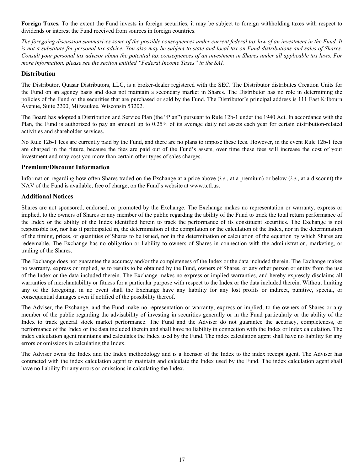<span id="page-16-0"></span>**Foreign Taxes.** To the extent the Fund invests in foreign securities, it may be subject to foreign withholding taxes with respect to dividends or interest the Fund received from sources in foreign countries.

*The foregoing discussion summarizes some of the possible consequences under current federal tax law of an investment in the Fund. It is not a substitute for personal tax advice. You also may be subject to state and local tax on Fund distributions and sales of Shares. Consult your personal tax advisor about the potential tax consequences of an investment in Shares under all applicable tax laws. For more information, please see the section entitled "Federal Income Taxes" in the SAI.*

# **Distribution**

The Distributor, Quasar Distributors, LLC, is a broker-dealer registered with the SEC. The Distributor distributes Creation Units for the Fund on an agency basis and does not maintain a secondary market in Shares. The Distributor has no role in determining the policies of the Fund or the securities that are purchased or sold by the Fund. The Distributor's principal address is 111 East Kilbourn Avenue, Suite 2200, Milwaukee, Wisconsin 53202.

The Board has adopted a Distribution and Service Plan (the "Plan") pursuant to Rule 12b-1 under the 1940 Act. In accordance with the Plan, the Fund is authorized to pay an amount up to 0.25% of its average daily net assets each year for certain distribution-related activities and shareholder services.

No Rule 12b-1 fees are currently paid by the Fund, and there are no plans to impose these fees. However, in the event Rule 12b-1 fees are charged in the future, because the fees are paid out of the Fund's assets, over time these fees will increase the cost of your investment and may cost you more than certain other types of sales charges.

# **Premium/Discount Information**

Information regarding how often Shares traded on the Exchange at a price above (*i.e.*, at a premium) or below (*i.e.*, at a discount) the NAV of the Fund is available, free of charge, on the Fund's website at www.tctl.us.

# **Additional Notices**

Shares are not sponsored, endorsed, or promoted by the Exchange. The Exchange makes no representation or warranty, express or implied, to the owners of Shares or any member of the public regarding the ability of the Fund to track the total return performance of the Index or the ability of the Index identified herein to track the performance of its constituent securities. The Exchange is not responsible for, nor has it participated in, the determination of the compilation or the calculation of the Index, nor in the determination of the timing, prices, or quantities of Shares to be issued, nor in the determination or calculation of the equation by which Shares are redeemable. The Exchange has no obligation or liability to owners of Shares in connection with the administration, marketing, or trading of the Shares.

The Exchange does not guarantee the accuracy and/or the completeness of the Index or the data included therein. The Exchange makes no warranty, express or implied, as to results to be obtained by the Fund, owners of Shares, or any other person or entity from the use of the Index or the data included therein. The Exchange makes no express or implied warranties, and hereby expressly disclaims all warranties of merchantability or fitness for a particular purpose with respect to the Index or the data included therein. Without limiting any of the foregoing, in no event shall the Exchange have any liability for any lost profits or indirect, punitive, special, or consequential damages even if notified of the possibility thereof.

The Adviser, the Exchange, and the Fund make no representation or warranty, express or implied, to the owners of Shares or any member of the public regarding the advisability of investing in securities generally or in the Fund particularly or the ability of the Index to track general stock market performance. The Fund and the Adviser do not guarantee the accuracy, completeness, or performance of the Index or the data included therein and shall have no liability in connection with the Index or Index calculation. The index calculation agent maintains and calculates the Index used by the Fund. The index calculation agent shall have no liability for any errors or omissions in calculating the Index.

The Adviser owns the Index and the Index methodology and is a licensor of the Index to the index receipt agent. The Adviser has contracted with the index calculation agent to maintain and calculate the Index used by the Fund. The index calculation agent shall have no liability for any errors or omissions in calculating the Index.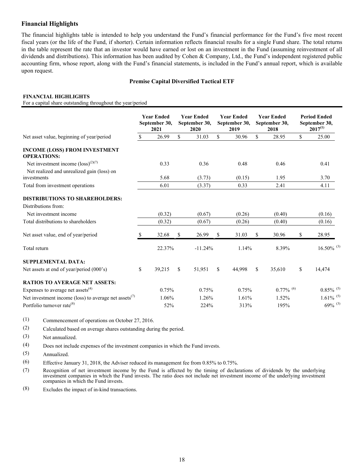# <span id="page-17-0"></span>**Financial Highlights**

The financial highlights table is intended to help you understand the Fund's financial performance for the Fund's five most recent fiscal years (or the life of the Fund, if shorter). Certain information reflects financial results for a single Fund share. The total returns in the table represent the rate that an investor would have earned or lost on an investment in the Fund (assuming reinvestment of all dividends and distributions). This information has been audited by Cohen & Company, Ltd., the Fund's independent registered public accounting firm, whose report, along with the Fund's financial statements, is included in the Fund's annual report, which is available upon request.

#### **Premise Capital Diversified Tactical ETF**

#### **FINANCIAL HIGHLIGHTS**

For a capital share outstanding throughout the year/period

|                                                                   |    | <b>Year Ended</b><br>September 30,<br>2021 | <b>Year Ended</b><br>September 30,<br>2020 |    | <b>Year Ended</b><br>September 30,<br>2019 |    | <b>Year Ended</b><br>September 30,<br>2018 | <b>Period Ended</b><br>September 30,<br>$2017^{(1)}$ |
|-------------------------------------------------------------------|----|--------------------------------------------|--------------------------------------------|----|--------------------------------------------|----|--------------------------------------------|------------------------------------------------------|
| Net asset value, beginning of year/period                         | \$ | 26.99                                      | \$<br>31.03                                | \$ | 30.96                                      | \$ | 28.95                                      | \$<br>25.00                                          |
| <b>INCOME (LOSS) FROM INVESTMENT</b><br><b>OPERATIONS:</b>        |    |                                            |                                            |    |                                            |    |                                            |                                                      |
| Net investment income $(\text{loss})^{(2)(7)}$                    |    | 0.33                                       | 0.36                                       |    | 0.48                                       |    | 0.46                                       | 0.41                                                 |
| Net realized and unrealized gain (loss) on                        |    |                                            |                                            |    |                                            |    |                                            |                                                      |
| investments                                                       |    | 5.68                                       | (3.73)                                     |    | (0.15)                                     |    | 1.95                                       | 3.70                                                 |
| Total from investment operations                                  |    | 6.01                                       | (3.37)                                     |    | 0.33                                       |    | 2.41                                       | 4.11                                                 |
| <b>DISTRIBUTIONS TO SHAREHOLDERS:</b>                             |    |                                            |                                            |    |                                            |    |                                            |                                                      |
| Distributions from:                                               |    |                                            |                                            |    |                                            |    |                                            |                                                      |
| Net investment income                                             |    | (0.32)                                     | (0.67)                                     |    | (0.26)                                     |    | (0.40)                                     | (0.16)                                               |
| Total distributions to shareholders                               |    | (0.32)                                     | (0.67)                                     |    | (0.26)                                     |    | (0.40)                                     | (0.16)                                               |
| Net asset value, end of year/period                               | S  | 32.68                                      | \$<br>26.99                                | \$ | 31.03                                      | S  | 30.96                                      | \$<br>28.95                                          |
| Total return                                                      |    | 22.37%                                     | $-11.24%$                                  |    | 1.14%                                      |    | 8.39%                                      | $16.50\%$ <sup>(3)</sup>                             |
| <b>SUPPLEMENTAL DATA:</b>                                         |    |                                            |                                            |    |                                            |    |                                            |                                                      |
| Net assets at end of year/period (000's)                          | \$ | 39,215                                     | \$<br>51,951                               | S. | 44,998                                     | \$ | 35,610                                     | \$<br>14,474                                         |
| <b>RATIOS TO AVERAGE NET ASSETS:</b>                              |    |                                            |                                            |    |                                            |    |                                            |                                                      |
| Expenses to average net assets $(4)$                              |    | 0.75%                                      | 0.75%                                      |    | 0.75%                                      |    | $0.77\%$ <sup>(6)</sup>                    | $0.85\%$ <sup>(5)</sup>                              |
| Net investment income (loss) to average net assets <sup>(7)</sup> |    | 1.06%                                      | 1.26%                                      |    | 1.61%                                      |    | 1.52%                                      | $1.61\%$ <sup>(5)</sup>                              |
| Portfolio turnover rate <sup>(8)</sup>                            |    | 52%                                        | 224%                                       |    | 313%                                       |    | 195%                                       | $69\%$ <sup>(3)</sup>                                |

(1) Commencement of operations on October 27, 2016.

(2) Calculated based on average shares outstanding during the period.

(3) Not annualized.

(4) Does not include expenses of the investment companies in which the Fund invests.

(5) Annualized.

(6) Effective January 31, 2018, the Adviser reduced its management fee from 0.85% to 0.75%.

(7) Recognition of net investment income by the Fund is affected by the timing of declarations of dividends by the underlying investment companies in which the Fund invests. The ratio does not include net investment income of the underlying investment companies in which the Fund invests.

(8) Excludes the impact of in-kind transactions.